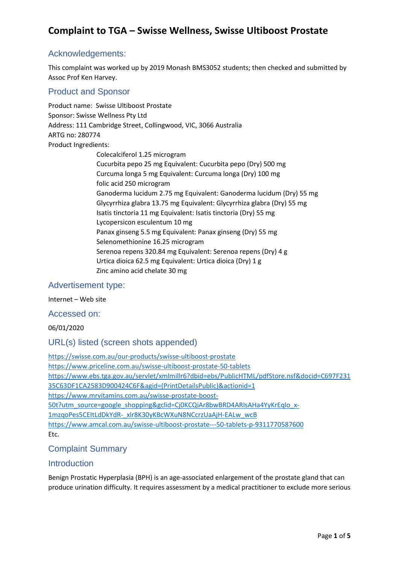## Acknowledgements:

This complaint was worked up by 2019 Monash BMS3052 students; then checked and submitted by Assoc Prof Ken Harvey.

## Product and Sponsor

Product name: Swisse Ultiboost Prostate Sponsor: Swisse Wellness Pty Ltd Address: 111 Cambridge Street, Collingwood, VIC, 3066 Australia ARTG no: 280774 Product Ingredients:

Colecalciferol 1.25 microgram Cucurbita pepo 25 mg Equivalent: Cucurbita pepo (Dry) 500 mg Curcuma longa 5 mg Equivalent: Curcuma longa (Dry) 100 mg folic acid 250 microgram Ganoderma lucidum 2.75 mg Equivalent: Ganoderma lucidum (Dry) 55 mg Glycyrrhiza glabra 13.75 mg Equivalent: Glycyrrhiza glabra (Dry) 55 mg Isatis tinctoria 11 mg Equivalent: Isatis tinctoria (Dry) 55 mg Lycopersicon esculentum 10 mg Panax ginseng 5.5 mg Equivalent: Panax ginseng (Dry) 55 mg Selenomethionine 16.25 microgram Serenoa repens 320.84 mg Equivalent: Serenoa repens (Dry) 4 g Urtica dioica 62.5 mg Equivalent: Urtica dioica (Dry) 1 g Zinc amino acid chelate 30 mg

## Advertisement type:

Internet – Web site

Accessed on:

06/01/2020

## URL(s) listed (screen shots appended)

<https://swisse.com.au/our-products/swisse-ultiboost-prostate> <https://www.priceline.com.au/swisse-ultiboost-prostate-50-tablets> [https://www.ebs.tga.gov.au/servlet/xmlmillr6?dbid=ebs/PublicHTML/pdfStore.nsf&docid=C697F231](https://www.ebs.tga.gov.au/servlet/xmlmillr6?dbid=ebs/PublicHTML/pdfStore.nsf&docid=C697F23135C63DF1CA2583D900424C6F&agid=(PrintDetailsPublic)&actionid=1) [35C63DF1CA2583D900424C6F&agid=\(PrintDetailsPublic\)&actionid=1](https://www.ebs.tga.gov.au/servlet/xmlmillr6?dbid=ebs/PublicHTML/pdfStore.nsf&docid=C697F23135C63DF1CA2583D900424C6F&agid=(PrintDetailsPublic)&actionid=1) [https://www.mrvitamins.com.au/swisse-prostate-boost-](https://www.mrvitamins.com.au/swisse-prostate-boost-50t?utm_source=google_shopping&gclid=Cj0KCQiAr8bwBRD4ARIsAHa4YyKrEqlo_x-1mzqoPes5CEItLdDkYdR-_xlr8K30yKBcWXuN8NCcrzUaAjH-EALw_wcB)[50t?utm\\_source=google\\_shopping&gclid=Cj0KCQiAr8bwBRD4ARIsAHa4YyKrEqlo\\_x-](https://www.mrvitamins.com.au/swisse-prostate-boost-50t?utm_source=google_shopping&gclid=Cj0KCQiAr8bwBRD4ARIsAHa4YyKrEqlo_x-1mzqoPes5CEItLdDkYdR-_xlr8K30yKBcWXuN8NCcrzUaAjH-EALw_wcB)[1mzqoPes5CEItLdDkYdR-\\_xlr8K30yKBcWXuN8NCcrzUaAjH-EALw\\_wcB](https://www.mrvitamins.com.au/swisse-prostate-boost-50t?utm_source=google_shopping&gclid=Cj0KCQiAr8bwBRD4ARIsAHa4YyKrEqlo_x-1mzqoPes5CEItLdDkYdR-_xlr8K30yKBcWXuN8NCcrzUaAjH-EALw_wcB) <https://www.amcal.com.au/swisse-ultiboost-prostate---50-tablets-p-9311770587600> Etc.

## Complaint Summary

## **Introduction**

Benign Prostatic Hyperplasia (BPH) is an age-associated enlargement of the prostate gland that can produce urination difficulty. It requires assessment by a medical practitioner to exclude more serious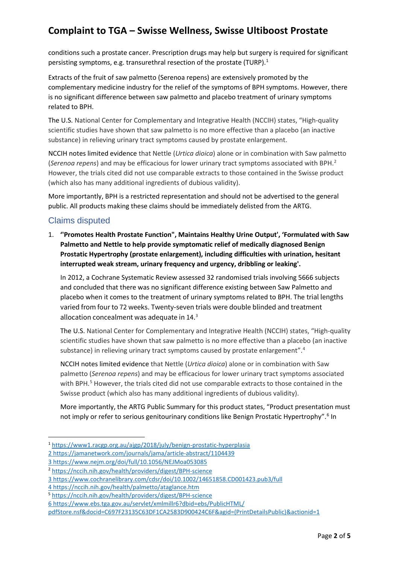conditions such a prostate cancer. Prescription drugs may help but surgery is required for significant persisting symptoms, e.g. transurethral resection of the prostate (TURP).<sup>[1](#page-1-0)</sup>

Extracts of the fruit of saw palmetto (Serenoa repens) are extensively promoted by the complementary medicine industry for the relief of the symptoms of BPH symptoms. However, there is no significant difference between saw palmetto and placebo treatment of urinary symptoms related to BPH.

The U.S. National Center for Complementary and Integrative Health (NCCIH) states, "High-quality scientific studies have shown that saw palmetto is no more effective than a placebo (an inactive substance) in relieving urinary tract symptoms caused by prostate enlargement.

NCCIH notes limited evidence that Nettle (*Urtica dioica*) alone or in combination with Saw palmetto (*Serenoa repens*) and may be efficacious for lower urinary tract symptoms associated with BPH. [2](#page-1-1) However, the trials cited did not use comparable extracts to those contained in the Swisse product (which also has many additional ingredients of dubious validity).

More importantly, BPH is a restricted representation and should not be advertised to the general public. All products making these claims should be immediately delisted from the ARTG.

## Claims disputed

1. **''Promotes Health Prostate Function", Maintains Healthy Urine Output', 'Formulated with Saw Palmetto and Nettle to help provide symptomatic relief of medically diagnosed Benign Prostatic Hypertrophy (prostate enlargement), including difficulties with urination, hesitant interrupted weak stream, urinary frequency and urgency, dribbling or leaking'.**

In 2012, a Cochrane Systematic Review assessed 32 randomised trials involving 5666 subjects and concluded that there was no significant difference existing between Saw Palmetto and placebo when it comes to the treatment of urinary symptoms related to BPH. The trial lengths varied from four to 72 weeks. Twenty‐seven trials were double blinded and treatment allocation concealment was adequate in 14.[3](#page-1-2)

The U.S. National Center for Complementary and Integrative Health (NCCIH) states, "High-quality scientific studies have shown that saw palmetto is no more effective than a placebo (an inactive substance) in relieving urinary tract symptoms caused by prostate enlargement".<sup>[4](#page-1-3)</sup>

NCCIH notes limited evidence that Nettle (*Urtica dioica*) alone or in combination with Saw palmetto (*Serenoa repens*) and may be efficacious for lower urinary tract symptoms associated with BPH.<sup>[5](#page-1-4)</sup> However, the trials cited did not use comparable extracts to those contained in the Swisse product (which also has many additional ingredients of dubious validity).

More importantly, the ARTG Public Summary for this product states, "Product presentation must not imply or refer to serious genitourinary conditions like Benign Prostatic Hypertrophy".<sup>[6](#page-1-5)</sup> In

- <span id="page-1-0"></span><sup>1</sup> <https://www1.racgp.org.au/ajgp/2018/july/benign-prostatic-hyperplasia>
- [2 https://jamanetwork.com/journals/jama/article-abstract/1104439](https://jamanetwork.com/journals/jama/article-abstract/1104439) [3 https://www.nejm.org/doi/full/10.1056/NEJMoa053085](https://www.nejm.org/doi/full/10.1056/NEJMoa053085)

<span id="page-1-1"></span><sup>2</sup> <https://nccih.nih.gov/health/providers/digest/BPH-science>

<span id="page-1-2"></span><sup>3</sup> <https://www.cochranelibrary.com/cdsr/doi/10.1002/14651858.CD001423.pub3/full>

<span id="page-1-3"></span><sup>4</sup> <https://nccih.nih.gov/health/palmetto/ataglance.htm>

<span id="page-1-4"></span><sup>5</sup> <https://nccih.nih.gov/health/providers/digest/BPH-science>

<span id="page-1-5"></span><sup>6</sup> [https://www.ebs.tga.gov.au/servlet/xmlmillr6?dbid=ebs/PublicHTML/](https://www.ebs.tga.gov.au/servlet/xmlmillr6?dbid=ebs/PublicHTML/pdfStore.nsf&docid=C697F23135C63DF1CA2583D900424C6F&agid=(PrintDetailsPublic)&actionid=1)

[pdfStore.nsf&docid=C697F23135C63DF1CA2583D900424C6F&agid=\(PrintDetailsPublic\)&actionid=1](https://www.ebs.tga.gov.au/servlet/xmlmillr6?dbid=ebs/PublicHTML/pdfStore.nsf&docid=C697F23135C63DF1CA2583D900424C6F&agid=(PrintDetailsPublic)&actionid=1)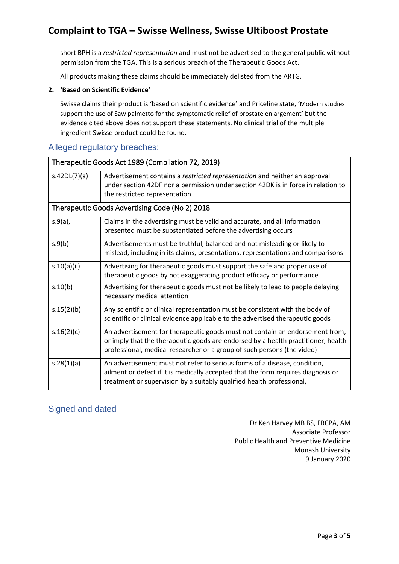short BPH is a *restricted representation* and must not be advertised to the general public without permission from the TGA. This is a serious breach of the Therapeutic Goods Act.

All products making these claims should be immediately delisted from the ARTG.

#### **2. 'Based on Scientific Evidence'**

Swisse claims their product is 'based on scientific evidence' and Priceline state, 'Modern studies support the use of Saw palmetto for the symptomatic relief of prostate enlargement' but the evidence cited above does not support these statements. No clinical trial of the multiple ingredient Swisse product could be found.

## Alleged regulatory breaches:

| Therapeutic Goods Act 1989 (Compilation 72, 2019) |                                                                                                                                                                                                                                              |  |
|---------------------------------------------------|----------------------------------------------------------------------------------------------------------------------------------------------------------------------------------------------------------------------------------------------|--|
| s.42DL(7)(a)                                      | Advertisement contains a restricted representation and neither an approval<br>under section 42DF nor a permission under section 42DK is in force in relation to<br>the restricted representation                                             |  |
| Therapeutic Goods Advertising Code (No 2) 2018    |                                                                                                                                                                                                                                              |  |
| $s.9(a)$ ,                                        | Claims in the advertising must be valid and accurate, and all information<br>presented must be substantiated before the advertising occurs                                                                                                   |  |
| s.9(b)                                            | Advertisements must be truthful, balanced and not misleading or likely to<br>mislead, including in its claims, presentations, representations and comparisons                                                                                |  |
| s.10(a)(ii)                                       | Advertising for therapeutic goods must support the safe and proper use of<br>therapeutic goods by not exaggerating product efficacy or performance                                                                                           |  |
| s.10(b)                                           | Advertising for therapeutic goods must not be likely to lead to people delaying<br>necessary medical attention                                                                                                                               |  |
| s.15(2)(b)                                        | Any scientific or clinical representation must be consistent with the body of<br>scientific or clinical evidence applicable to the advertised therapeutic goods                                                                              |  |
| s.16(2)(c)                                        | An advertisement for therapeutic goods must not contain an endorsement from,<br>or imply that the therapeutic goods are endorsed by a health practitioner, health<br>professional, medical researcher or a group of such persons (the video) |  |
| s.28(1)(a)                                        | An advertisement must not refer to serious forms of a disease, condition,<br>ailment or defect if it is medically accepted that the form requires diagnosis or<br>treatment or supervision by a suitably qualified health professional,      |  |

## Signed and dated

Dr Ken Harvey MB BS, FRCPA, AM Associate Professor Public Health and Preventive Medicine Monash University 9 January 2020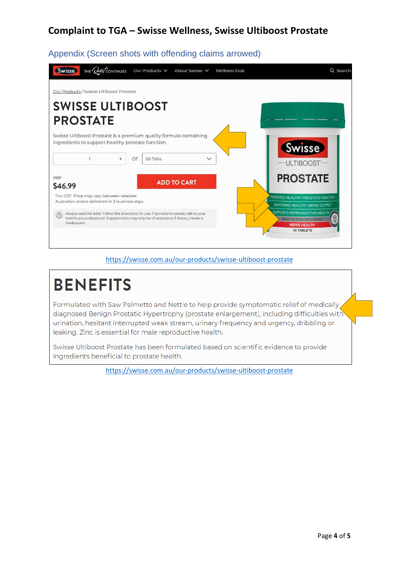| THE <i>Quest</i> CONTINUES<br>Swisse<br>Our Products V<br>About Swisse V<br>Wellness Hub                                                                                                      | Q Search                                                                                                        |
|-----------------------------------------------------------------------------------------------------------------------------------------------------------------------------------------------|-----------------------------------------------------------------------------------------------------------------|
| Our Products / Swisse Ultiboost Prostate                                                                                                                                                      |                                                                                                                 |
| <b>SWISSE ULTIBOOST</b>                                                                                                                                                                       |                                                                                                                 |
| <b>PROSTATE</b>                                                                                                                                                                               |                                                                                                                 |
| Swisse Ultiboost Prostate is a premium quality formula containing<br>ingredients to support healthy prostate function.<br>Of<br>50 Tabs<br>$\checkmark$<br>$^{+}$                             | <b>Swisse</b><br>ULTIBOOST®                                                                                     |
| <b>RRP</b><br><b>ADD TO CART</b><br>\$46.99                                                                                                                                                   | <b>PROSTATE</b>                                                                                                 |
| *Inc GST. Price may vary between retailers.<br>Australian orders delivered in 3 business days.                                                                                                | PROMOTES HEALTHY PROSTATE FUNCTION<br>MAINTAINS HEALTHY URINE OUTPUT                                            |
| Always read the label. Follow the directions for use. If symptoms persist, talk to your<br>healthcare professional. Supplements may only be of assistance if dietary intake is<br>inadequate. | SUPPORTS REPRODUCTIVE HEALTH<br><b>BASED ON SCIENTIFIC EVIDENCE</b><br><b>MEN'S HEALTH</b><br><b>50 TABLETS</b> |

## Appendix (Screen shots with offending claims arrowed)

#### <https://swisse.com.au/our-products/swisse-ultiboost-prostate>

# **BENEFITS** Formulated with Saw Palmetto and Nettle to help provide symptomatic relief of medically

diagnosed Benign Prostatic Hypertrophy (prostate enlargement), including difficulties with urination, hesitant interrupted weak stream, urinary frequency and urgency, dribbling or leaking. Zinc is essential for male reproductive health.

Swisse Ultiboost Prostate has been formulated based on scientific evidence to provide ingredients beneficial to prostate health.

<https://swisse.com.au/our-products/swisse-ultiboost-prostate>